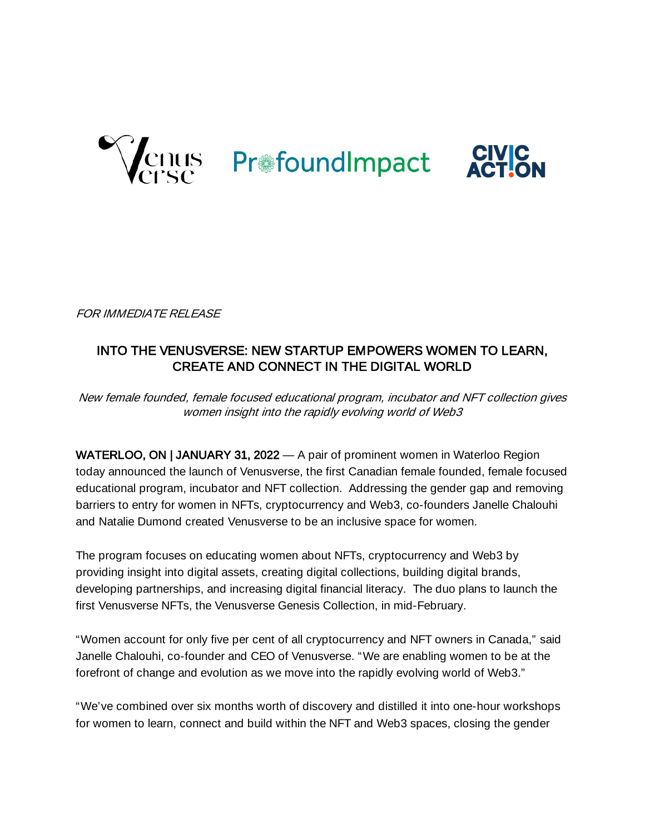

FOR IMMEDIATE RELEASE

## INTO THE VENUSVERSE: NEW STARTUP EMPOWERS WOMEN TO LEARN, CREATE AND CONNECT IN THE DIGITAL WORLD

New female founded, female focused educational program, incubator and NFT collection gives women insight into the rapidly evolving world of Web3

WATERLOO, ON | JANUARY 31, 2022 — A pair of prominent women in Waterloo Region today announced the launch of Venusverse, the first Canadian female founded, female focused educational program, incubator and NFT collection. Addressing the gender gap and removing barriers to entry for women in NFTs, cryptocurrency and Web3, co-founders Janelle Chalouhi and Natalie Dumond created Venusverse to be an inclusive space for women.

The program focuses on educating women about NFTs, cryptocurrency and Web3 by providing insight into digital assets, creating digital collections, building digital brands, developing partnerships, and increasing digital financial literacy. The duo plans to launch the first Venusverse NFTs, the Venusverse Genesis Collection, in mid-February.

"Women account for only five per cent of all cryptocurrency and NFT owners in Canada," said Janelle Chalouhi, co-founder and CEO of Venusverse. "We are enabling women to be at the forefront of change and evolution as we move into the rapidly evolving world of Web3."

"We've combined over six months worth of discovery and distilled it into one-hour workshops for women to learn, connect and build within the NFT and Web3 spaces, closing the gender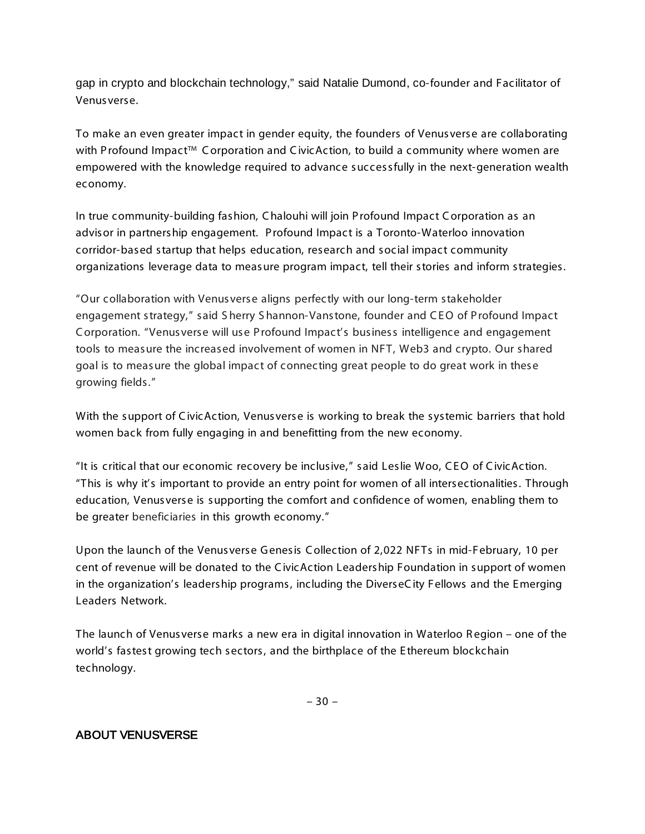gap in crypto and blockchain technology," said Natalie Dumond, co-founder and Facilitator of Venusverse.

To make an even greater impact in gender equity, the founders of Venusverse are collaborating with Profound Impact™ Corporation and CivicAction, to build a community where women are empowered with the knowledge required to advance successfully in the next-generation wealth economy.

In true community-building fashion, C halouhi will join P rofound Impact C orporation as an advisor in partnership engagement. P rofound Impact is a Toronto-Waterloo innovation corridor-based startup that helps education, research and social impact community organizations leverage data to measure program impact, tell their stories and inform strategies.

"Our collaboration with Venusverse aligns perfectly with our long-term stakeholder engagement strategy," said S herry S hannon-Vanstone, founder and CEO of Profound Impact C orporation. "Venusverse will use P rofound Impact's business intelligence and engagement tools to measure the increased involvement of women in NFT, Web3 and crypto. Our shared goal is to measure the global impact of connecting great people to do great work in these growing fields."

With the support of CivicAction, Venusverse is working to break the systemic barriers that hold women back from fully engaging in and benefitting from the new economy.

"It is critical that our economic recovery be inclusive," said Leslie Woo, CEO of CivicAction. "This is why it's important to provide an entry point for women of all intersectionalities. Through education, Venusverse is supporting the comfort and confidence of women, enabling them to be greater beneficiaries in this growth economy."

Upon the launch of the Venusverse Genesis Collection of 2,022 NFTs in mid-February, 10 per cent of revenue will be donated to the C ivicAction Leadership Foundation in support of women in the organization's leadership programs, including the DiverseC ity Fellows and the E merging Leaders Network.

The launch of Venusverse marks a new era in digital innovation in Waterloo R egion – one of the world's fastest growing tech sectors, and the birthplace of the E thereum blockchain technology.

## ABOUT VENUSVERSE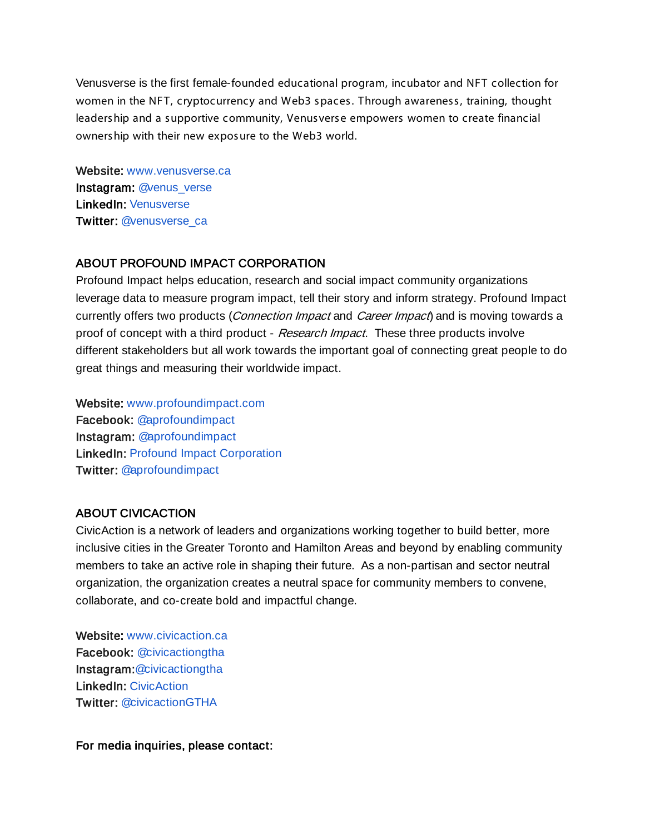Venusverse is the first female-founded educational program, incubator and NFT collection for women in the NFT, cryptocurrency and Web3 spaces. Through awareness, training, thought leadership and a supportive community, Venusverse empowers women to create financial ownership with their new exposure to the Web3 world.

Website: www.venusverse.ca Instagram: [@venus\\_verse](https://www.instagram.com/venus_verse/) LinkedIn: [Venusverse](https://www.linkedin.com/company/venusverse/) Twitter: [@venusverse\\_ca](https://twitter.com/venusverse_ca)

## ABOUT PROFOUND IMPACT CORPORATION

Profound Impact helps education, research and social impact community organizations leverage data to measure program impact, tell their story and inform strategy. Profound Impact currently offers two products (*Connection Impact* and *Career Impact*) and is moving towards a proof of concept with a third product - Research Impact. These three products involve different stakeholders but all work towards the important goal of connecting great people to do great things and measuring their worldwide impact.

Website: [www.profoundimpact.com](http://www.profoundimpact.com/) Facebook: [@aprofoundimpact](https://www.facebook.com/aprofoundimpact/?__tn__=%2Cd%3C-R&eid=ARBmjLY8njtsMbSVLImCvj_HPkstVAgUr0HWx4wtP5pHTqt6rWHfW5jYhXVd1LWbVvMPmqtDIsSEMzwG) Instagram: [@aprofoundimpact](https://www.instagram.com/aprofoundimpact/)  LinkedIn: [Profound Impact Corporation](https://www.linkedin.com/company/profound-impact-corporation/?viewAsMember=true) Twitter: [@aprofoundimpact](https://twitter.com/aprofoundimpact)

## ABOUT CIVICACTION

CivicAction is a network of leaders and organizations working together to build better, more inclusive cities in the Greater Toronto and Hamilton Areas and beyond by enabling community members to take an active role in shaping their future. As a non-partisan and sector neutral organization, the organization creates a neutral space for community members to convene, collaborate, and co-create bold and impactful change.

Website: [www.civicaction.ca](https://civicaction.ca/)  Facebook: [@civicactiongtha](https://www.facebook.com/civicactiongtha) Instagram[:@civicactiongtha](https://www.instagram.com/civicactiongtha/) LinkedIn[:](https://www.linkedin.com/company/profound-impact-corporation/?viewAsMember=true) [CivicAction](https://www.linkedin.com/company/profound-impact-corporation/?viewAsMember=true)  Twitter: [@civicactionGTHA](https://twitter.com/CivicActionGTHA)

For media inquiries, please contact: